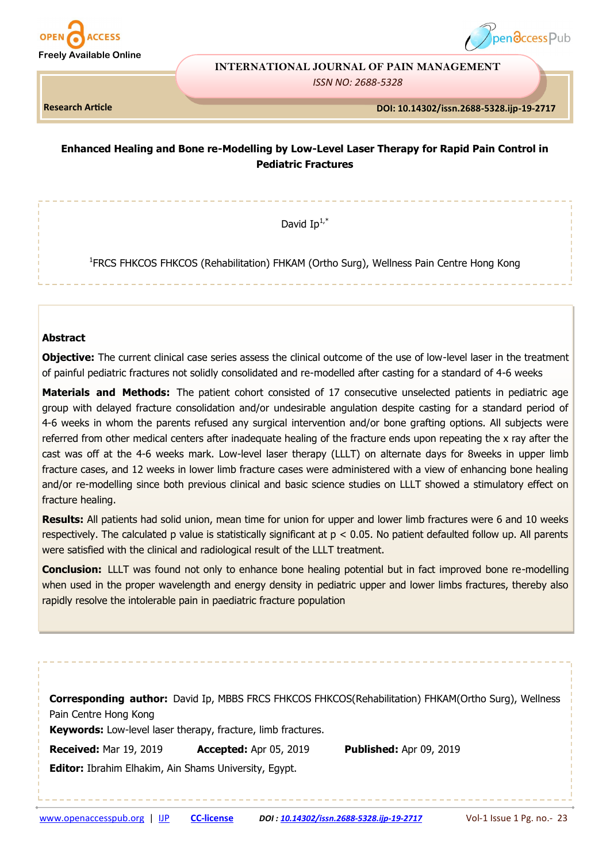



#### **INTERNATIONAL JOURNAL OF PAIN MANAGEMENT**

*ISSN NO: 2688-5328* 

**Research Article**

 **DOI: 10.14302/issn.2688-5328.ijp-19-2717** 

# **Enhanced Healing and Bone re-Modelling by Low-Level Laser Therapy for Rapid Pain Control in Pediatric Fractures**

David  $In^{1,*}$ 

<sup>1</sup>FRCS FHKCOS FHKCOS (Rehabilitation) FHKAM (Ortho Surg), Wellness Pain Centre Hong Kong

## **Abstract**

**Objective:** The current clinical case series assess the clinical outcome of the use of low-level laser in the treatment of painful pediatric fractures not solidly consolidated and re-modelled after casting for a standard of 4-6 weeks

**Materials and Methods:** The patient cohort consisted of 17 consecutive unselected patients in pediatric age group with delayed fracture consolidation and/or undesirable angulation despite casting for a standard period of 4-6 weeks in whom the parents refused any surgical intervention and/or bone grafting options. All subjects were referred from other medical centers after inadequate healing of the fracture ends upon repeating the x ray after the cast was off at the 4-6 weeks mark. Low-level laser therapy (LLLT) on alternate days for 8weeks in upper limb fracture cases, and 12 weeks in lower limb fracture cases were administered with a view of enhancing bone healing and/or re-modelling since both previous clinical and basic science studies on LLLT showed a stimulatory effect on fracture healing.

**Results:** All patients had solid union, mean time for union for upper and lower limb fractures were 6 and 10 weeks respectively. The calculated p value is statistically significant at p < 0.05. No patient defaulted follow up. All parents were satisfied with the clinical and radiological result of the LLLT treatment.

**Conclusion:** LLLT was found not only to enhance bone healing potential but in fact improved bone re-modelling when used in the proper wavelength and energy density in pediatric upper and lower limbs fractures, thereby also rapidly resolve the intolerable pain in paediatric fracture population

| <b>Corresponding author:</b> David Ip, MBBS FRCS FHKCOS FHKCOS(Rehabilitation) FHKAM(Ortho Surg), Wellness<br>Pain Centre Hong Kong<br>Keywords: Low-level laser therapy, fracture, limb fractures. |                        |                                |  |  |  |
|-----------------------------------------------------------------------------------------------------------------------------------------------------------------------------------------------------|------------------------|--------------------------------|--|--|--|
| <b>Received: Mar 19, 2019</b>                                                                                                                                                                       | Accepted: Apr 05, 2019 | <b>Published: Apr 09, 2019</b> |  |  |  |
| <b>Editor:</b> Ibrahim Elhakim, Ain Shams University, Egypt.                                                                                                                                        |                        |                                |  |  |  |
|                                                                                                                                                                                                     |                        |                                |  |  |  |
|                                                                                                                                                                                                     |                        |                                |  |  |  |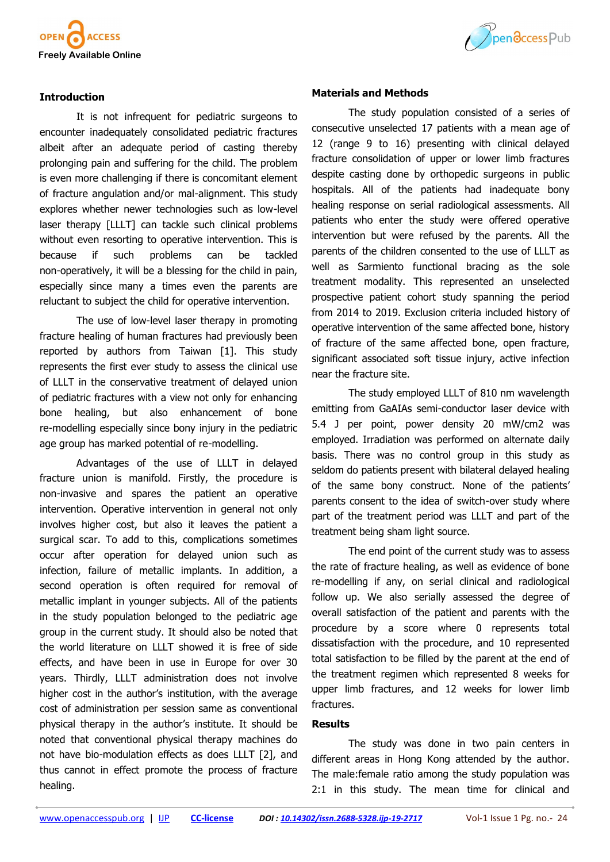



# **Introduction**

It is not infrequent for pediatric surgeons to encounter inadequately consolidated pediatric fractures albeit after an adequate period of casting thereby prolonging pain and suffering for the child. The problem is even more challenging if there is concomitant element of fracture angulation and/or mal-alignment. This study explores whether newer technologies such as low-level laser therapy [LLLT] can tackle such clinical problems without even resorting to operative intervention. This is because if such problems can be tackled non-operatively, it will be a blessing for the child in pain, especially since many a times even the parents are reluctant to subject the child for operative intervention.

The use of low-level laser therapy in promoting fracture healing of human fractures had previously been reported by authors from Taiwan [1]. This study represents the first ever study to assess the clinical use of LLLT in the conservative treatment of delayed union of pediatric fractures with a view not only for enhancing bone healing, but also enhancement of bone re-modelling especially since bony injury in the pediatric age group has marked potential of re-modelling.

Advantages of the use of LLLT in delayed fracture union is manifold. Firstly, the procedure is non-invasive and spares the patient an operative intervention. Operative intervention in general not only involves higher cost, but also it leaves the patient a surgical scar. To add to this, complications sometimes occur after operation for delayed union such as infection, failure of metallic implants. In addition, a second operation is often required for removal of metallic implant in younger subjects. All of the patients in the study population belonged to the pediatric age group in the current study. It should also be noted that the world literature on LLLT showed it is free of side effects, and have been in use in Europe for over 30 years. Thirdly, LLLT administration does not involve higher cost in the author's institution, with the average cost of administration per session same as conventional physical therapy in the author's institute. It should be noted that conventional physical therapy machines do not have bio-modulation effects as does LLLT [2], and thus cannot in effect promote the process of fracture healing.

#### **Materials and Methods**

The study population consisted of a series of consecutive unselected 17 patients with a mean age of 12 (range 9 to 16) presenting with clinical delayed fracture consolidation of upper or lower limb fractures despite casting done by orthopedic surgeons in public hospitals. All of the patients had inadequate bony healing response on serial radiological assessments. All patients who enter the study were offered operative intervention but were refused by the parents. All the parents of the children consented to the use of LLLT as well as Sarmiento functional bracing as the sole treatment modality. This represented an unselected prospective patient cohort study spanning the period from 2014 to 2019. Exclusion criteria included history of operative intervention of the same affected bone, history of fracture of the same affected bone, open fracture, significant associated soft tissue injury, active infection near the fracture site.

The study employed LLLT of 810 nm wavelength emitting from GaAIAs semi-conductor laser device with 5.4 J per point, power density 20 mW/cm2 was employed. Irradiation was performed on alternate daily basis. There was no control group in this study as seldom do patients present with bilateral delayed healing of the same bony construct. None of the patients' parents consent to the idea of switch-over study where part of the treatment period was LLLT and part of the treatment being sham light source.

The end point of the current study was to assess the rate of fracture healing, as well as evidence of bone re-modelling if any, on serial clinical and radiological follow up. We also serially assessed the degree of overall satisfaction of the patient and parents with the procedure by a score where 0 represents total dissatisfaction with the procedure, and 10 represented total satisfaction to be filled by the parent at the end of the treatment regimen which represented 8 weeks for upper limb fractures, and 12 weeks for lower limb fractures.

## **Results**

The study was done in two pain centers in different areas in Hong Kong attended by the author. The male:female ratio among the study population was 2:1 in this study. The mean time for clinical and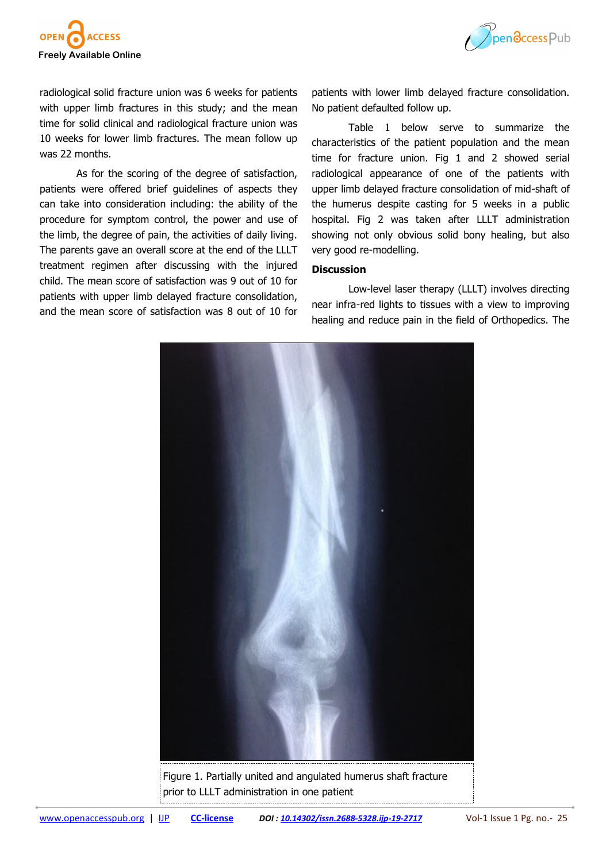



radiological solid fracture union was 6 weeks for patients with upper limb fractures in this study; and the mean time for solid clinical and radiological fracture union was 10 weeks for lower limb fractures. The mean follow up was 22 months.

As for the scoring of the degree of satisfaction, patients were offered brief guidelines of aspects they can take into consideration including: the ability of the procedure for symptom control, the power and use of the limb, the degree of pain, the activities of daily living. The parents gave an overall score at the end of the LLLT treatment regimen after discussing with the injured child. The mean score of satisfaction was 9 out of 10 for patients with upper limb delayed fracture consolidation, and the mean score of satisfaction was 8 out of 10 for patients with lower limb delayed fracture consolidation. No patient defaulted follow up.

Table 1 below serve to summarize the characteristics of the patient population and the mean time for fracture union. Fig 1 and 2 showed serial radiological appearance of one of the patients with upper limb delayed fracture consolidation of mid-shaft of the humerus despite casting for 5 weeks in a public hospital. Fig 2 was taken after LLLT administration showing not only obvious solid bony healing, but also very good re-modelling.

# **Discussion**

Low-level laser therapy (LLLT) involves directing near infra-red lights to tissues with a view to improving healing and reduce pain in the field of Orthopedics. The



Figure 1. Partially united and angulated humerus shaft fracture prior to LLLT administration in one patient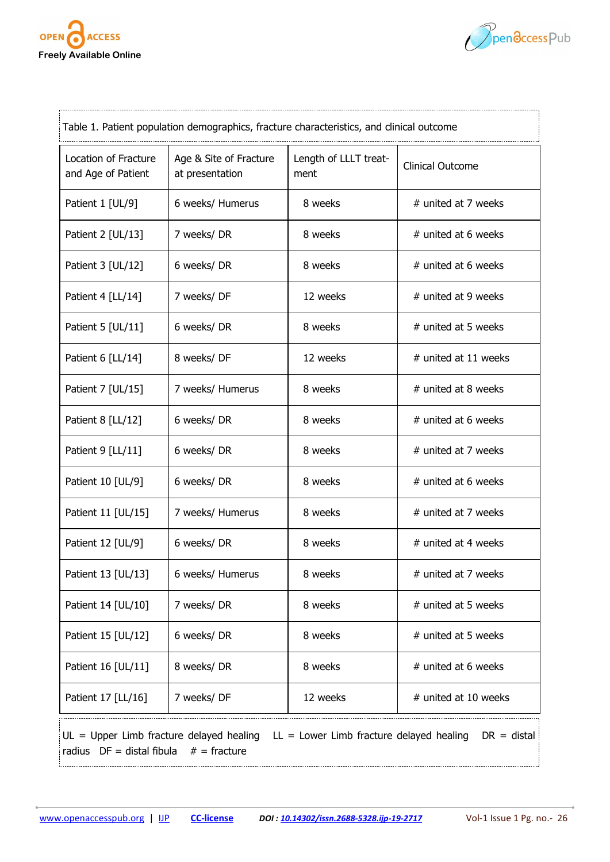



| Table 1. Patient population demographics, fracture characteristics, and clinical outcome |                                           |                               |                         |  |
|------------------------------------------------------------------------------------------|-------------------------------------------|-------------------------------|-------------------------|--|
| Location of Fracture<br>and Age of Patient                                               | Age & Site of Fracture<br>at presentation | Length of LLLT treat-<br>ment | <b>Clinical Outcome</b> |  |
| Patient 1 [UL/9]                                                                         | 6 weeks/ Humerus                          | 8 weeks                       | # united at 7 weeks     |  |
| Patient 2 [UL/13]                                                                        | 7 weeks/DR                                | 8 weeks                       | # united at 6 weeks     |  |
| Patient 3 [UL/12]                                                                        | 6 weeks/DR                                | 8 weeks                       | # united at 6 weeks     |  |
| Patient 4 [LL/14]                                                                        | 7 weeks/DF                                | 12 weeks                      | # united at 9 weeks     |  |
| Patient 5 [UL/11]                                                                        | 6 weeks/DR                                | 8 weeks                       | # united at 5 weeks     |  |
| Patient 6 [LL/14]                                                                        | 8 weeks/DF                                | 12 weeks                      | # united at 11 weeks    |  |
| Patient 7 [UL/15]                                                                        | 7 weeks/ Humerus                          | 8 weeks                       | # united at 8 weeks     |  |
| Patient 8 [LL/12]                                                                        | 6 weeks/DR                                | 8 weeks                       | # united at 6 weeks     |  |
| Patient 9 [LL/11]                                                                        | 6 weeks/DR                                | 8 weeks                       | # united at 7 weeks     |  |
| Patient 10 [UL/9]                                                                        | 6 weeks/DR                                | 8 weeks                       | # united at 6 weeks     |  |
| Patient 11 [UL/15]                                                                       | 7 weeks/ Humerus                          | 8 weeks                       | # united at 7 weeks     |  |
| Patient 12 [UL/9]                                                                        | 6 weeks/DR                                | 8 weeks                       | # united at 4 weeks     |  |
| Patient 13 [UL/13]                                                                       | 6 weeks/ Humerus                          | 8 weeks                       | # united at 7 weeks     |  |
| Patient 14 [UL/10]                                                                       | 7 weeks/DR                                | 8 weeks                       | # united at 5 weeks     |  |
| Patient 15 [UL/12]                                                                       | 6 weeks/DR                                | 8 weeks                       | # united at 5 weeks     |  |
| Patient 16 [UL/11]                                                                       | 8 weeks/DR                                | 8 weeks                       | # united at 6 weeks     |  |
| Patient 17 [LL/16]                                                                       | 7 weeks/DF                                | 12 weeks                      | # united at 10 weeks    |  |
|                                                                                          |                                           |                               |                         |  |

 $|UL|$  = Upper Limb fracture delayed healing LL = Lower Limb fracture delayed healing DR = distal radius  $DF = distal fibula$  # = fracture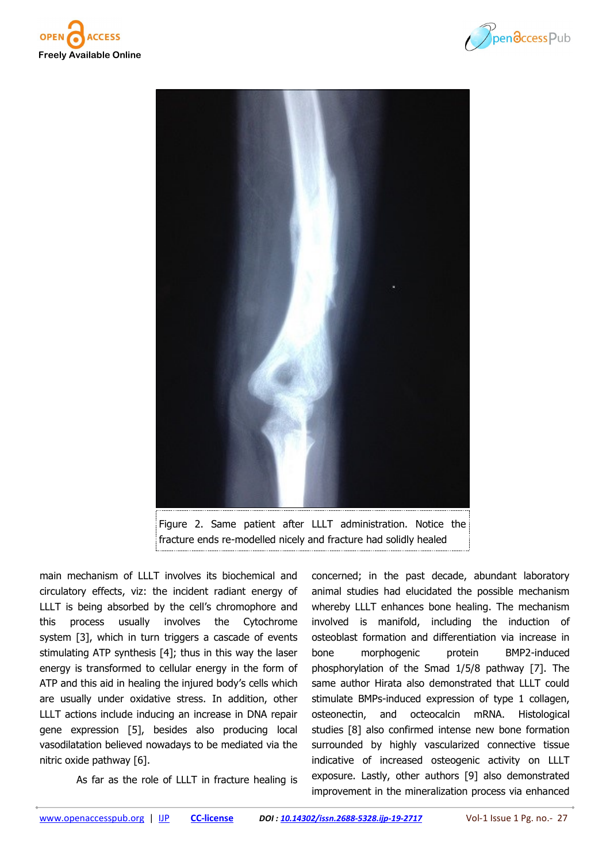





Figure 2. Same patient after LLLT administration. Notice the fracture ends re-modelled nicely and fracture had solidly healed

main mechanism of LLLT involves its biochemical and circulatory effects, viz: the incident radiant energy of LLLT is being absorbed by the cell's chromophore and this process usually involves the Cytochrome system [3], which in turn triggers a cascade of events stimulating ATP synthesis [4]; thus in this way the laser energy is transformed to cellular energy in the form of ATP and this aid in healing the injured body's cells which are usually under oxidative stress. In addition, other LLLT actions include inducing an increase in DNA repair gene expression [5], besides also producing local vasodilatation believed nowadays to be mediated via the nitric oxide pathway [6].

As far as the role of LLLT in fracture healing is

concerned; in the past decade, abundant laboratory animal studies had elucidated the possible mechanism whereby LLLT enhances bone healing. The mechanism involved is manifold, including the induction of osteoblast formation and differentiation via increase in bone morphogenic protein BMP2-induced phosphorylation of the Smad 1/5/8 pathway [7]. The same author Hirata also demonstrated that LLLT could stimulate BMPs-induced expression of type 1 collagen, osteonectin, and octeocalcin mRNA. Histological studies [8] also confirmed intense new bone formation surrounded by highly vascularized connective tissue indicative of increased osteogenic activity on LLLT exposure. Lastly, other authors [9] also demonstrated improvement in the mineralization process via enhanced